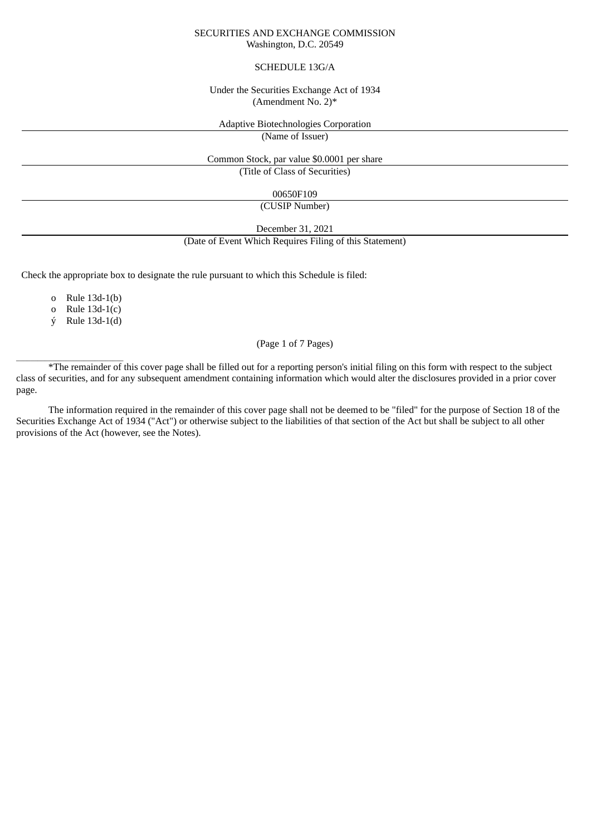#### SECURITIES AND EXCHANGE COMMISSION Washington, D.C. 20549

#### SCHEDULE 13G/A

#### Under the Securities Exchange Act of 1934 (Amendment No. 2)\*

#### Adaptive Biotechnologies Corporation

(Name of Issuer)

Common Stock, par value \$0.0001 per share (Title of Class of Securities)

00650F109

(CUSIP Number)

December 31, 2021 (Date of Event Which Requires Filing of this Statement)

Check the appropriate box to designate the rule pursuant to which this Schedule is filed:

o Rule 13d-1(b)

o Rule 13d-1(c)

ý Rule 13d-1(d)

 $\overline{\phantom{a}}$  ,  $\overline{\phantom{a}}$  ,  $\overline{\phantom{a}}$  ,  $\overline{\phantom{a}}$  ,  $\overline{\phantom{a}}$  ,  $\overline{\phantom{a}}$  ,  $\overline{\phantom{a}}$  ,  $\overline{\phantom{a}}$  ,  $\overline{\phantom{a}}$  ,  $\overline{\phantom{a}}$  ,  $\overline{\phantom{a}}$  ,  $\overline{\phantom{a}}$  ,  $\overline{\phantom{a}}$  ,  $\overline{\phantom{a}}$  ,  $\overline{\phantom{a}}$  ,  $\overline{\phantom{a}}$ 

# (Page 1 of 7 Pages)

\*The remainder of this cover page shall be filled out for a reporting person's initial filing on this form with respect to the subject class of securities, and for any subsequent amendment containing information which would alter the disclosures provided in a prior cover page.

The information required in the remainder of this cover page shall not be deemed to be "filed" for the purpose of Section 18 of the Securities Exchange Act of 1934 ("Act") or otherwise subject to the liabilities of that section of the Act but shall be subject to all other provisions of the Act (however, see the Notes).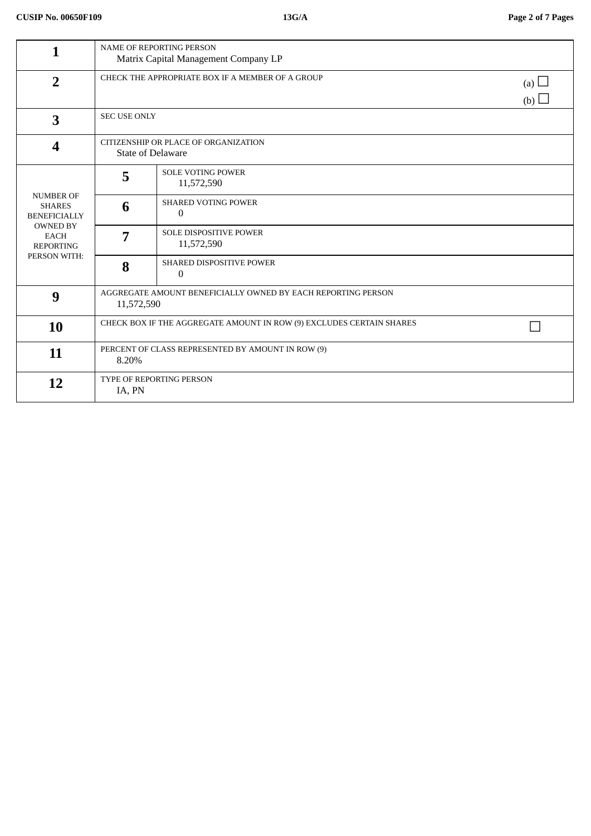| 1                                                                                                                              | <b>NAME OF REPORTING PERSON</b><br>Matrix Capital Management Company LP    |                                                 |  |
|--------------------------------------------------------------------------------------------------------------------------------|----------------------------------------------------------------------------|-------------------------------------------------|--|
| $\overline{2}$                                                                                                                 | CHECK THE APPROPRIATE BOX IF A MEMBER OF A GROUP                           |                                                 |  |
| $\overline{\mathbf{3}}$                                                                                                        | <b>SEC USE ONLY</b>                                                        |                                                 |  |
| $\boldsymbol{4}$                                                                                                               | CITIZENSHIP OR PLACE OF ORGANIZATION<br><b>State of Delaware</b>           |                                                 |  |
| <b>NUMBER OF</b><br><b>SHARES</b><br><b>BENEFICIALLY</b><br><b>OWNED BY</b><br><b>EACH</b><br><b>REPORTING</b><br>PERSON WITH: | 5                                                                          | <b>SOLE VOTING POWER</b><br>11,572,590          |  |
|                                                                                                                                | 6                                                                          | <b>SHARED VOTING POWER</b><br>$\Omega$          |  |
|                                                                                                                                | 7                                                                          | <b>SOLE DISPOSITIVE POWER</b><br>11,572,590     |  |
|                                                                                                                                | 8                                                                          | <b>SHARED DISPOSITIVE POWER</b><br>$\mathbf{0}$ |  |
| 9                                                                                                                              | AGGREGATE AMOUNT BENEFICIALLY OWNED BY EACH REPORTING PERSON<br>11,572,590 |                                                 |  |
| 10                                                                                                                             | CHECK BOX IF THE AGGREGATE AMOUNT IN ROW (9) EXCLUDES CERTAIN SHARES       |                                                 |  |
| 11                                                                                                                             | PERCENT OF CLASS REPRESENTED BY AMOUNT IN ROW (9)<br>8.20%                 |                                                 |  |
| 12                                                                                                                             | TYPE OF REPORTING PERSON<br>IA, PN                                         |                                                 |  |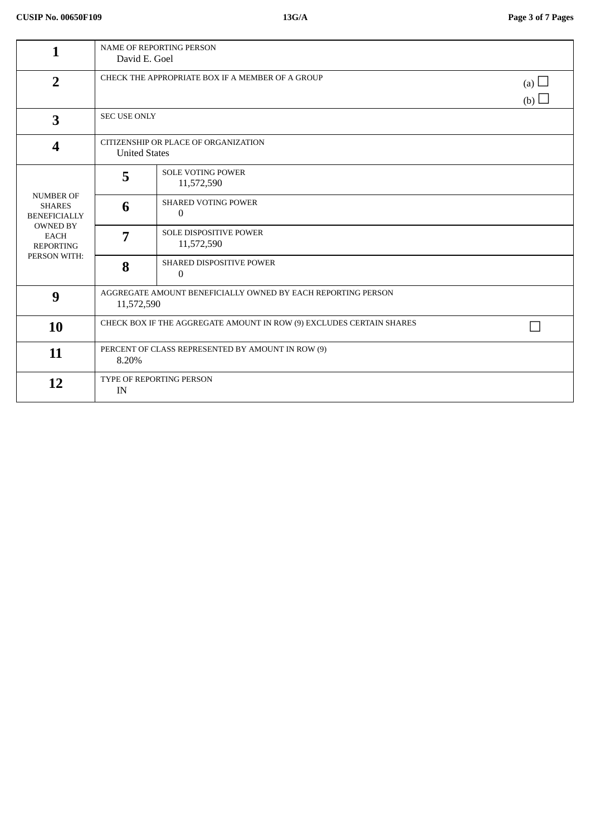| 1                                                                                                                              | <b>NAME OF REPORTING PERSON</b><br>David E. Goel                           |                                              |  |
|--------------------------------------------------------------------------------------------------------------------------------|----------------------------------------------------------------------------|----------------------------------------------|--|
| $\overline{2}$                                                                                                                 | CHECK THE APPROPRIATE BOX IF A MEMBER OF A GROUP                           | (a) $\Box$<br>(b) $\Box$                     |  |
| $\overline{\mathbf{3}}$                                                                                                        | <b>SEC USE ONLY</b>                                                        |                                              |  |
| $\boldsymbol{4}$                                                                                                               | CITIZENSHIP OR PLACE OF ORGANIZATION<br><b>United States</b>               |                                              |  |
| <b>NUMBER OF</b><br><b>SHARES</b><br><b>BENEFICIALLY</b><br><b>OWNED BY</b><br><b>EACH</b><br><b>REPORTING</b><br>PERSON WITH: | 5                                                                          | <b>SOLE VOTING POWER</b><br>11,572,590       |  |
|                                                                                                                                | 6                                                                          | <b>SHARED VOTING POWER</b><br>$\overline{0}$ |  |
|                                                                                                                                | 7                                                                          | <b>SOLE DISPOSITIVE POWER</b><br>11,572,590  |  |
|                                                                                                                                | 8                                                                          | SHARED DISPOSITIVE POWER<br>$\mathbf{0}$     |  |
| 9                                                                                                                              | AGGREGATE AMOUNT BENEFICIALLY OWNED BY EACH REPORTING PERSON<br>11,572,590 |                                              |  |
| 10                                                                                                                             | CHECK BOX IF THE AGGREGATE AMOUNT IN ROW (9) EXCLUDES CERTAIN SHARES       |                                              |  |
| 11                                                                                                                             | PERCENT OF CLASS REPRESENTED BY AMOUNT IN ROW (9)<br>8.20%                 |                                              |  |
| 12                                                                                                                             | TYPE OF REPORTING PERSON<br>IN                                             |                                              |  |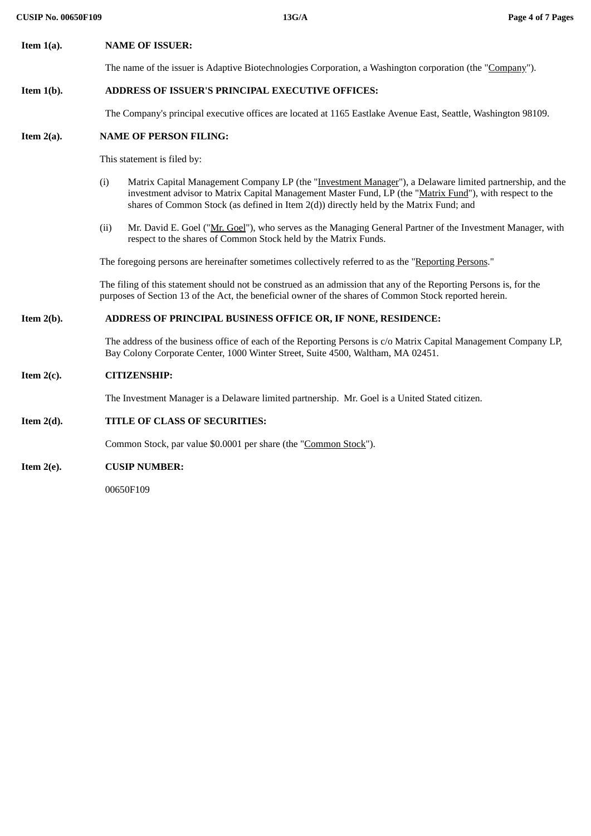# **Item 1(a). NAME OF ISSUER:**

The name of the issuer is Adaptive Biotechnologies Corporation, a Washington corporation (the "Company").

# **Item 1(b). ADDRESS OF ISSUER'S PRINCIPAL EXECUTIVE OFFICES:**

The Company's principal executive offices are located at 1165 Eastlake Avenue East, Seattle, Washington 98109.

# **Item 2(a). NAME OF PERSON FILING:**

This statement is filed by:

- (i) Matrix Capital Management Company LP (the "Investment Manager"), a Delaware limited partnership, and the investment advisor to Matrix Capital Management Master Fund, LP (the "Matrix Fund"), with respect to the shares of Common Stock (as defined in Item 2(d)) directly held by the Matrix Fund; and
- (ii) Mr. David E. Goel (" $Mr. Goel$ "), who serves as the Managing General Partner of the Investment Manager, with</u> respect to the shares of Common Stock held by the Matrix Funds.

The foregoing persons are hereinafter sometimes collectively referred to as the "Reporting Persons."

The filing of this statement should not be construed as an admission that any of the Reporting Persons is, for the purposes of Section 13 of the Act, the beneficial owner of the shares of Common Stock reported herein.

## **Item 2(b). ADDRESS OF PRINCIPAL BUSINESS OFFICE OR, IF NONE, RESIDENCE:**

The address of the business office of each of the Reporting Persons is c/o Matrix Capital Management Company LP, Bay Colony Corporate Center, 1000 Winter Street, Suite 4500, Waltham, MA 02451.

#### **Item 2(c). CITIZENSHIP:**

The Investment Manager is a Delaware limited partnership. Mr. Goel is a United Stated citizen.

## **Item 2(d). TITLE OF CLASS OF SECURITIES:**

Common Stock, par value \$0.0001 per share (the "Common Stock").

#### **Item 2(e). CUSIP NUMBER:**

00650F109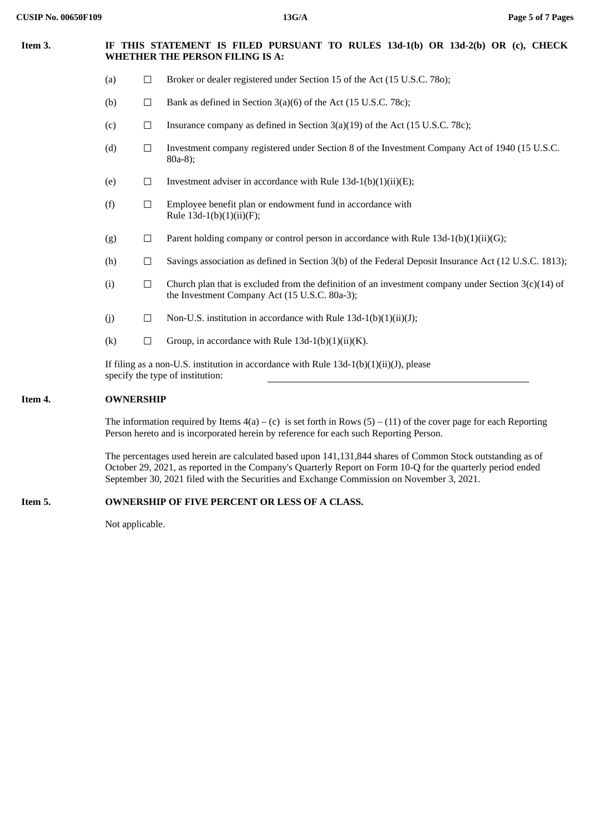# **Item 3. IF THIS STATEMENT IS FILED PURSUANT TO RULES 13d-1(b) OR 13d-2(b) OR (c), CHECK WHETHER THE PERSON FILING IS A:**

- (a)  $\Box$  Broker or dealer registered under Section 15 of the Act (15 U.S.C. 780);
- (b)  $\Box$  Bank as defined in Section 3(a)(6) of the Act (15 U.S.C. 78c);
- (c)  $\Box$  Insurance company as defined in Section 3(a)(19) of the Act (15 U.S.C. 78c);
- (d)  $\Box$  Investment company registered under Section 8 of the Investment Company Act of 1940 (15 U.S.C. 80a-8);
- (e)  $\Box$  Investment adviser in accordance with Rule 13d-1(b)(1)(ii)(E);
- (f)  $□$  Employee benefit plan or endowment fund in accordance with Rule  $13d-1(b)(1)(ii)(F);$
- (g)  $\Box$  Parent holding company or control person in accordance with Rule 13d-1(b)(1)(ii)(G);
- (h)  $\Box$  Savings association as defined in Section 3(b) of the Federal Deposit Insurance Act (12 U.S.C. 1813);
- (i)  $\Box$  Church plan that is excluded from the definition of an investment company under Section 3(c)(14) of the Investment Company Act (15 U.S.C. 80a-3);
- (j)  $\Box$  Non-U.S. institution in accordance with Rule 13d-1(b)(1)(ii)(J);
- (k)  $\Box$  Group, in accordance with Rule 13d-1(b)(1)(ii)(K).

If filing as a non-U.S. institution in accordance with Rule  $13d-1(b)(1)(ii)(J)$ , please specify the type of institution:

## **Item 4. OWNERSHIP**

The information required by Items  $4(a) - (c)$  is set forth in Rows  $(5) - (11)$  of the cover page for each Reporting Person hereto and is incorporated herein by reference for each such Reporting Person.

The percentages used herein are calculated based upon 141,131,844 shares of Common Stock outstanding as of October 29, 2021, as reported in the Company's Quarterly Report on Form 10-Q for the quarterly period ended September 30, 2021 filed with the Securities and Exchange Commission on November 3, 2021.

## **Item 5. OWNERSHIP OF FIVE PERCENT OR LESS OF A CLASS.**

Not applicable.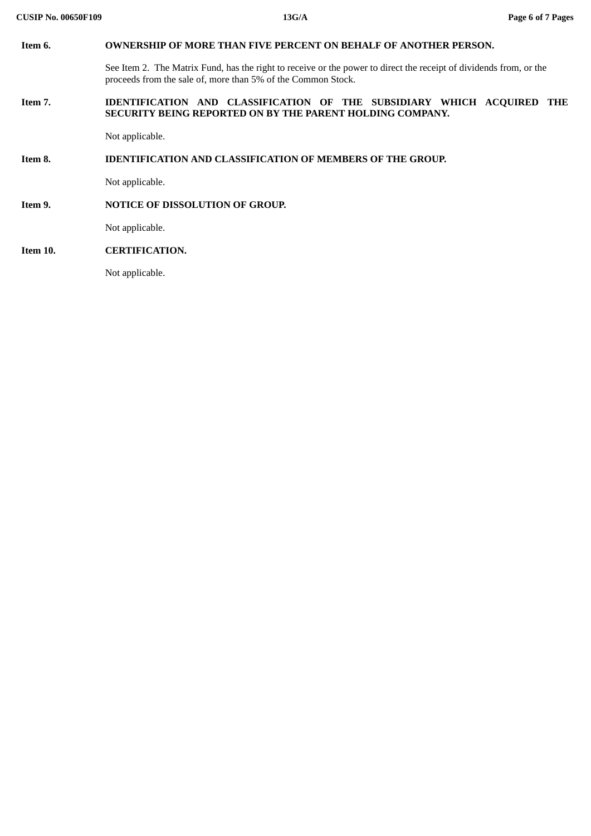| Item 6.  | <b>OWNERSHIP OF MORE THAN FIVE PERCENT ON BEHALF OF ANOTHER PERSON.</b>                                                                                                            |  |  |  |  |
|----------|------------------------------------------------------------------------------------------------------------------------------------------------------------------------------------|--|--|--|--|
|          | See Item 2. The Matrix Fund, has the right to receive or the power to direct the receipt of dividends from, or the<br>proceeds from the sale of, more than 5% of the Common Stock. |  |  |  |  |
| Item 7.  | IDENTIFICATION AND CLASSIFICATION OF THE<br>SUBSIDIARY WHICH ACQUIRED THE<br>SECURITY BEING REPORTED ON BY THE PARENT HOLDING COMPANY.                                             |  |  |  |  |
|          | Not applicable.                                                                                                                                                                    |  |  |  |  |
| Item 8.  | <b>IDENTIFICATION AND CLASSIFICATION OF MEMBERS OF THE GROUP.</b>                                                                                                                  |  |  |  |  |
|          | Not applicable.                                                                                                                                                                    |  |  |  |  |
| Item 9.  | NOTICE OF DISSOLUTION OF GROUP.                                                                                                                                                    |  |  |  |  |
|          | Not applicable.                                                                                                                                                                    |  |  |  |  |
| Item 10. | <b>CERTIFICATION.</b>                                                                                                                                                              |  |  |  |  |
|          | Not applicable.                                                                                                                                                                    |  |  |  |  |